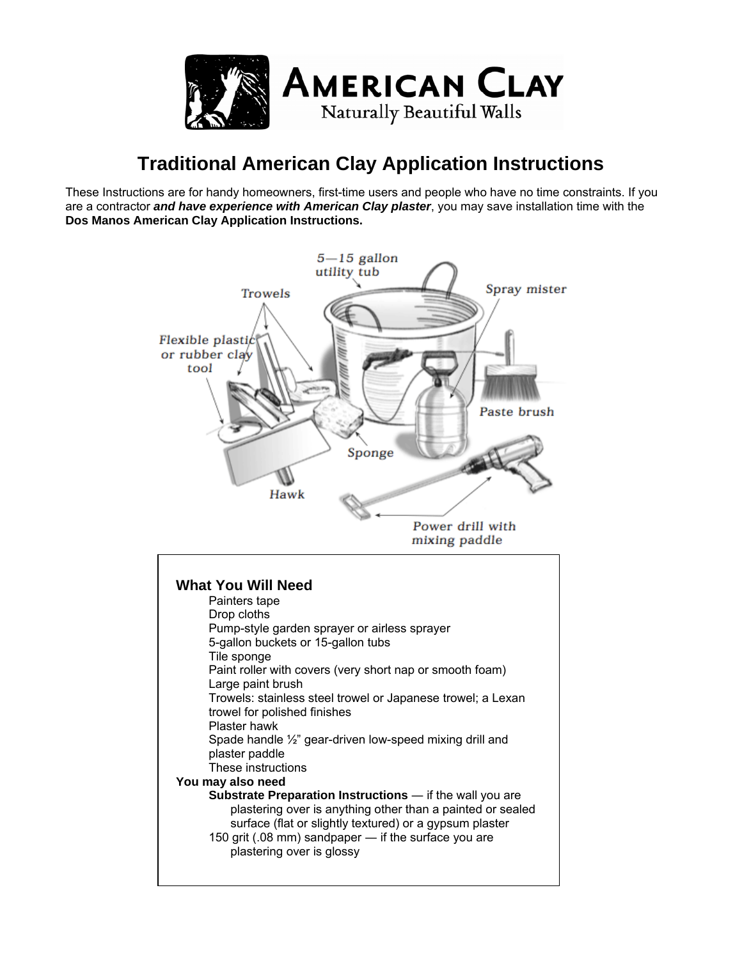

# **Traditional American Clay Application Instructions**

These Instructions are for handy homeowners, first-time users and people who have no time constraints. If you are a contractor *and have experience with American Clay plaster*, you may save installation time with the **Dos Manos American Clay Application Instructions.** 

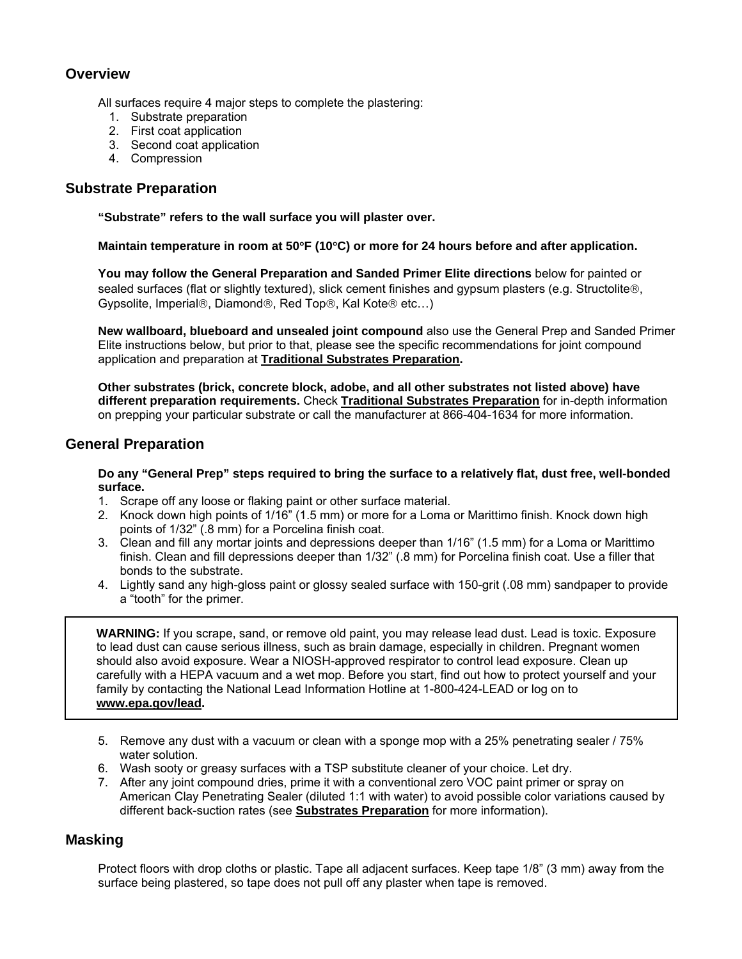## **Overview**

All surfaces require 4 major steps to complete the plastering:

- 1. Substrate preparation
- 2. First coat application
- 3. Second coat application
- 4. Compression

#### **Substrate Preparation**

**"Substrate" refers to the wall surface you will plaster over.** 

**Maintain temperature in room at 50**°**F (10**°**C) or more for 24 hours before and after application.** 

**You may follow the General Preparation and Sanded Primer Elite directions** below for painted or sealed surfaces (flat or slightly textured), slick cement finishes and gypsum plasters (e.g. Structolite®, Gypsolite, Imperial®, Diamond®, Red Top®, Kal Kote® etc…)

**New wallboard, blueboard and unsealed joint compound** also use the General Prep and Sanded Primer Elite instructions below, but prior to that, please see the specific recommendations for joint compound application and preparation at **Traditional Substrates Preparation.** 

**Other substrates (brick, concrete block, adobe, and all other substrates not listed above) have different preparation requirements.** Check **Traditional Substrates Preparation** for in-depth information on prepping your particular substrate or call the manufacturer at 866-404-1634 for more information.

#### **General Preparation**

**Do any "General Prep" steps required to bring the surface to a relatively flat, dust free, well-bonded surface.** 

- 1. Scrape off any loose or flaking paint or other surface material.
- 2. Knock down high points of 1/16" (1.5 mm) or more for a Loma or Marittimo finish. Knock down high points of 1/32" (.8 mm) for a Porcelina finish coat.
- 3. Clean and fill any mortar joints and depressions deeper than 1/16" (1.5 mm) for a Loma or Marittimo finish. Clean and fill depressions deeper than 1/32" (.8 mm) for Porcelina finish coat. Use a filler that bonds to the substrate.
- 4. Lightly sand any high-gloss paint or glossy sealed surface with 150-grit (.08 mm) sandpaper to provide a "tooth" for the primer.

**WARNING:** If you scrape, sand, or remove old paint, you may release lead dust. Lead is toxic. Exposure to lead dust can cause serious illness, such as brain damage, especially in children. Pregnant women should also avoid exposure. Wear a NIOSH-approved respirator to control lead exposure. Clean up carefully with a HEPA vacuum and a wet mop. Before you start, find out how to protect yourself and your family by contacting the National Lead Information Hotline at 1-800-424-LEAD or log on to **[www.epa.gov/lead](http://www.epa.gov/lead).**

- 5. Remove any dust with a vacuum or clean with a sponge mop with a 25% penetrating sealer / 75% water solution.
- 6. Wash sooty or greasy surfaces with a TSP substitute cleaner of your choice. Let dry.
- 7. After any joint compound dries, prime it with a conventional zero VOC paint primer or spray on American Clay Penetrating Sealer (diluted 1:1 with water) to avoid possible color variations caused by different back-suction rates (see **Substrates Preparation** for more information).

#### **Masking**

Protect floors with drop cloths or plastic. Tape all adjacent surfaces. Keep tape 1/8" (3 mm) away from the surface being plastered, so tape does not pull off any plaster when tape is removed.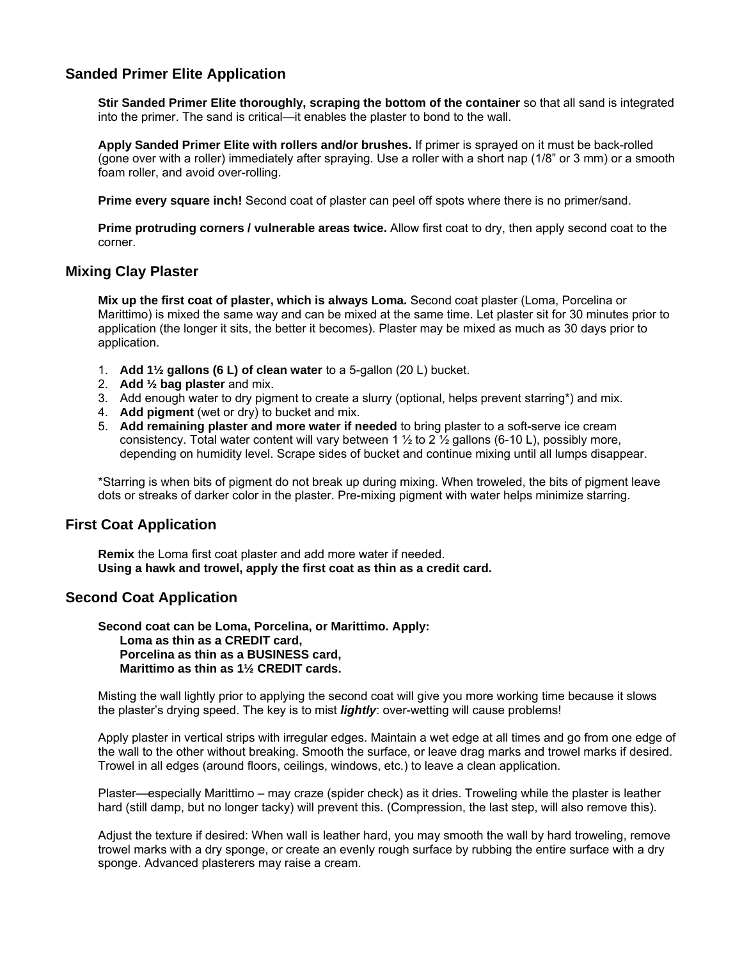#### **Sanded Primer Elite Application**

**Stir Sanded Primer Elite thoroughly, scraping the bottom of the container** so that all sand is integrated into the primer. The sand is critical—it enables the plaster to bond to the wall.

**Apply Sanded Primer Elite with rollers and/or brushes.** If primer is sprayed on it must be back-rolled (gone over with a roller) immediately after spraying. Use a roller with a short nap (1/8" or 3 mm) or a smooth foam roller, and avoid over-rolling.

**Prime every square inch!** Second coat of plaster can peel off spots where there is no primer/sand.

**Prime protruding corners / vulnerable areas twice.** Allow first coat to dry, then apply second coat to the corner.

#### **Mixing Clay Plaster**

**Mix up the first coat of plaster, which is always Loma.** Second coat plaster (Loma, Porcelina or Marittimo) is mixed the same way and can be mixed at the same time. Let plaster sit for 30 minutes prior to application (the longer it sits, the better it becomes). Plaster may be mixed as much as 30 days prior to application.

- 1. **Add 1½ gallons (6 L) of clean water** to a 5-gallon (20 L) bucket.
- 2. **Add ½ bag plaster** and mix.
- 3. Add enough water to dry pigment to create a slurry (optional, helps prevent starring\*) and mix.
- 4. **Add pigment** (wet or dry) to bucket and mix.
- 5. **Add remaining plaster and more water if needed** to bring plaster to a soft-serve ice cream consistency. Total water content will vary between 1  $\frac{1}{2}$  to 2  $\frac{1}{2}$  gallons (6-10 L), possibly more, depending on humidity level. Scrape sides of bucket and continue mixing until all lumps disappear.

\*Starring is when bits of pigment do not break up during mixing. When troweled, the bits of pigment leave dots or streaks of darker color in the plaster. Pre-mixing pigment with water helps minimize starring.

#### **First Coat Application**

**Remix** the Loma first coat plaster and add more water if needed. **Using a hawk and trowel, apply the first coat as thin as a credit card.** 

#### **Second Coat Application**

**Second coat can be Loma, Porcelina, or Marittimo. Apply: Loma as thin as a CREDIT card, Porcelina as thin as a BUSINESS card, Marittimo as thin as 1½ CREDIT cards.**

Misting the wall lightly prior to applying the second coat will give you more working time because it slows the plaster's drying speed. The key is to mist *lightly*: over-wetting will cause problems!

Apply plaster in vertical strips with irregular edges. Maintain a wet edge at all times and go from one edge of the wall to the other without breaking. Smooth the surface, or leave drag marks and trowel marks if desired. Trowel in all edges (around floors, ceilings, windows, etc.) to leave a clean application.

Plaster—especially Marittimo – may craze (spider check) as it dries. Troweling while the plaster is leather hard (still damp, but no longer tacky) will prevent this. (Compression, the last step, will also remove this).

Adjust the texture if desired: When wall is leather hard, you may smooth the wall by hard troweling, remove trowel marks with a dry sponge, or create an evenly rough surface by rubbing the entire surface with a dry sponge. Advanced plasterers may raise a cream.